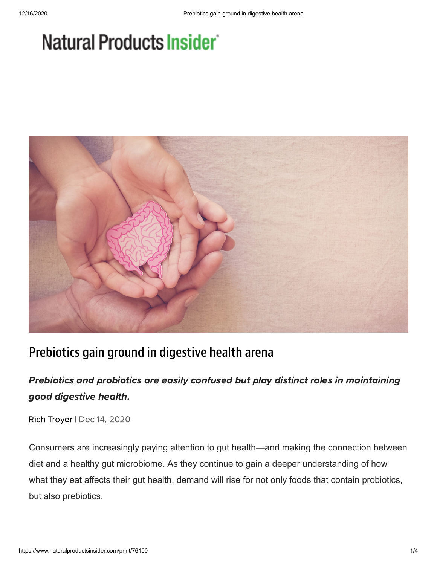# Natural Products Insider



## Prebiotics gain ground in digestive health arena

### Prebiotics and probiotics are easily confused but play distinct roles in maintaining good digestive health.

Rich [Troyer](https://www.naturalproductsinsider.com/author/Rich-Troyer) | Dec 14, 2020

Consumers are increasingly paying attention to gut health—and making the connection between diet and a healthy gut microbiome. As they continue to gain a deeper understanding of how what they eat affects their gut health, demand will rise for not only foods that contain probiotics, but also prebiotics.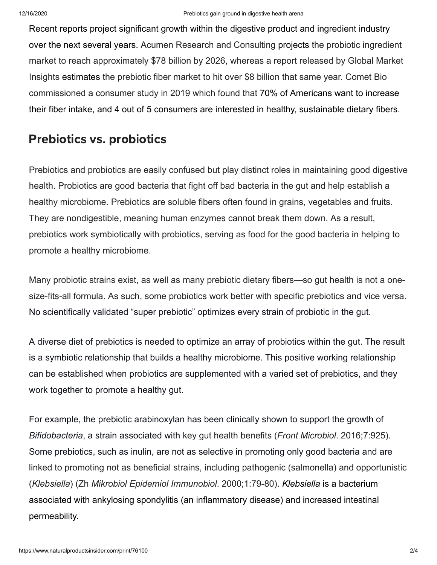Recent reports project significant growth within the digestive product and ingredient industry over the next several years. Acumen Research and Consulting [projects](https://www.acumenresearchandconsulting.com/probiotics-market) the probiotic ingredient market to reach approximately \$78 billion by 2026, whereas a report released by Global Market Insights [estimates](https://www.gminsights.com/industry-analysis/prebiotics-market) the prebiotic fiber market to hit over \$8 billion that same year. Comet Bio commissioned a consumer study in 2019 which found that 70% of Americans want to increase their fiber intake, and 4 out of 5 consumers are interested in healthy, sustainable dietary fibers.

## Prebiotics vs. probiotics

Prebiotics and probiotics are easily confused but play distinct roles in maintaining good digestive health. Probiotics are good bacteria that fight off bad bacteria in the gut and help establish a healthy microbiome. Prebiotics are soluble fibers often found in grains, vegetables and fruits. They are nondigestible, meaning human enzymes cannot break them down. As a result, prebiotics work symbiotically with probiotics, serving as food for the good bacteria in helping to promote a healthy microbiome.

Many probiotic strains exist, as well as many prebiotic dietary fibers—so gut health is not a onesize-fits-all formula. As such, some probiotics work better with specific prebiotics and vice versa. No scientifically validated "super prebiotic" optimizes every strain of probiotic in the gut.

A diverse diet of prebiotics is needed to optimize an array of probiotics within the gut. The result is a symbiotic relationship that builds a healthy microbiome. This positive working relationship can be established when probiotics are supplemented with a varied set of prebiotics, and they work together to promote a healthy gut.

For example, the prebiotic arabinoxylan has been clinically shown to support the growth of *Bifidobacteria*, a strain associated with key gut health benefits (*Front Microbiol*. 2016;7:925). Some prebiotics, such as inulin, are not as selective in promoting only good bacteria and are linked to promoting not as beneficial strains, including pathogenic (salmonella) and opportunistic (*Klebsiella*) (Zh *Mikrobiol Epidemiol Immunobiol*. 2000;1:79-80). *Klebsiella* is a bacterium associated with ankylosing spondylitis (an inflammatory disease) and increased intestinal permeability.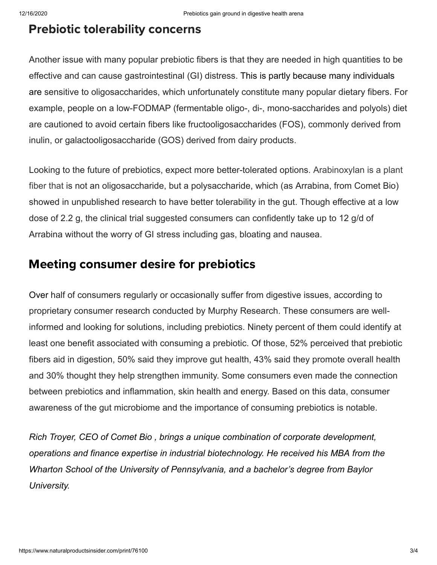#### Prebiotic tolerability concerns

Another issue with many popular prebiotic fibers is that they are needed in high quantities to be effective and can cause gastrointestinal (GI) distress. This is partly because many individuals are sensitive to oligosaccharides, which unfortunately constitute many popular dietary fibers. For example, people on a low-FODMAP (fermentable oligo-, di-, mono-saccharides and polyols) diet are cautioned to avoid certain fibers like fructooligosaccharides (FOS), commonly derived from inulin, or galactooligosaccharide (GOS) derived from dairy products.

Looking to the future of prebiotics, expect more better-tolerated options. Arabinoxylan is a plant fiber that is not an oligosaccharide, but a polysaccharide, which (as Arrabina, from Comet Bio) showed in unpublished research to have better tolerability in the gut. Though effective at a low dose of 2.2 g, the clinical trial suggested consumers can confidently take up to 12 g/d of Arrabina without the worry of GI stress including gas, bloating and nausea.

### Meeting consumer desire for prebiotics

Over half of consumers regularly or occasionally suffer from digestive issues, according to proprietary consumer research conducted by Murphy Research. These consumers are wellinformed and looking for solutions, including prebiotics. Ninety percent of them could identify at least one benefit associated with consuming a prebiotic. Of those, 52% perceived that prebiotic fibers aid in digestion, 50% said they improve gut health, 43% said they promote overall health and 30% thought they help strengthen immunity. Some consumers even made the connection between prebiotics and inflammation, skin health and energy. Based on this data, consumer awareness of the gut microbiome and the importance of consuming prebiotics is notable.

*Rich Troyer, CEO of [Comet Bio](http://comet-bio.com/) , brings a unique combination of corporate development, operations and finance expertise in industrial biotechnology. He received his MBA from the Wharton School of the University of Pennsylvania, and a bachelor's degree from Baylor University.*